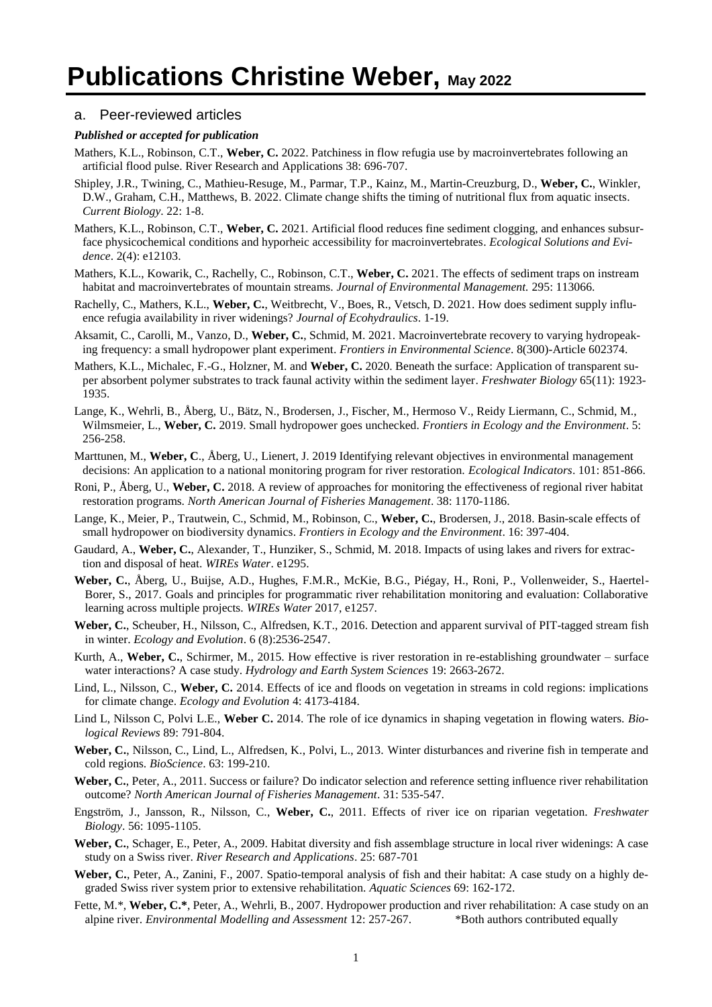## a. Peer-reviewed articles

## *Published or accepted for publication*

- Mathers, K.L., Robinson, C.T., **Weber, C.** 2022. Patchiness in flow refugia use by macroinvertebrates following an artificial flood pulse. River Research and Applications 38: 696-707.
- Shipley, J.R., Twining, C., Mathieu-Resuge, M., Parmar, T.P., Kainz, M., Martin-Creuzburg, D., **Weber, C.**, Winkler, D.W., Graham, C.H., Matthews, B. 2022. Climate change shifts the timing of nutritional flux from aquatic insects. *Current Biology*. 22: 1-8.
- Mathers, K.L., Robinson, C.T., **Weber, C.** 2021. Artificial flood reduces fine sediment clogging, and enhances subsurface physicochemical conditions and hyporheic accessibility for macroinvertebrates. *Ecological Solutions and Evidence*. 2(4): e12103.
- Mathers, K.L., Kowarik, C., Rachelly, C., Robinson, C.T., **Weber, C.** 2021. The effects of sediment traps on instream habitat and macroinvertebrates of mountain streams. *Journal of Environmental Management.* 295: 113066.
- Rachelly, C., Mathers, K.L., **Weber, C.**, Weitbrecht, V., Boes, R., Vetsch, D. 2021. How does sediment supply influence refugia availability in river widenings? *Journal of Ecohydraulics*. 1-19.
- Aksamit, C., Carolli, M., Vanzo, D., **Weber, C.**, Schmid, M. 2021. Macroinvertebrate recovery to varying hydropeaking frequency: a small hydropower plant experiment. *Frontiers in Environmental Science*. 8(300)-Article 602374.
- Mathers, K.L., Michalec, F.-G., Holzner, M. and **Weber, C.** 2020. Beneath the surface: Application of transparent super absorbent polymer substrates to track faunal activity within the sediment layer. *Freshwater Biology* 65(11): 1923- 1935.
- Lange, K., Wehrli, B., Åberg, U., Bätz, N., Brodersen, J., Fischer, M., Hermoso V., Reidy Liermann, C., Schmid, M., Wilmsmeier, L., **Weber, C.** 2019. Small hydropower goes unchecked. *Frontiers in Ecology and the Environment*. 5: 256-258.
- Marttunen, M., **Weber, C**., Åberg, U., Lienert, J. 2019 Identifying relevant objectives in environmental management decisions: An application to a national monitoring program for river restoration. *Ecological Indicators*. 101: 851-866.
- Roni, P., Åberg, U., **Weber, C.** 2018. A review of approaches for monitoring the effectiveness of regional river habitat restoration programs. *North American Journal of Fisheries Management*. 38: 1170-1186.
- Lange, K., Meier, P., Trautwein, C., Schmid, M., Robinson, C., **Weber, C.**, Brodersen, J., 2018. Basin-scale effects of small hydropower on biodiversity dynamics. *Frontiers in Ecology and the Environment*. 16: 397-404.
- Gaudard, A., **Weber, C.**, Alexander, T., Hunziker, S., Schmid, M. 2018. Impacts of using lakes and rivers for extraction and disposal of heat. *WIREs Water*. e1295.
- **Weber, C.**, Åberg, U., Buijse, A.D., Hughes, F.M.R., McKie, B.G., Piégay, H., Roni, P., Vollenweider, S., Haertel-Borer, S., 2017. Goals and principles for programmatic river rehabilitation monitoring and evaluation: Collaborative learning across multiple projects. *WIREs Water* 2017, e1257.
- **Weber, C.**, Scheuber, H., Nilsson, C., Alfredsen, K.T., 2016. Detection and apparent survival of PIT-tagged stream fish in winter. *Ecology and Evolution*. 6 (8):2536-2547.
- Kurth, A., **Weber, C.**, Schirmer, M., 2015. How effective is river restoration in re-establishing groundwater surface water interactions? A case study. *Hydrology and Earth System Sciences* 19: 2663-2672.
- Lind, L., Nilsson, C., **Weber, C.** 2014. Effects of ice and floods on vegetation in streams in cold regions: implications for climate change. *Ecology and Evolution* 4: 4173-4184.
- Lind L, Nilsson C, Polvi L.E., **Weber C.** 2014. The role of ice dynamics in shaping vegetation in flowing waters. *Biological Reviews* 89: 791-804.
- **Weber, C.**, Nilsson, C., Lind, L., Alfredsen, K., Polvi, L., 2013. Winter disturbances and riverine fish in temperate and cold regions. *BioScience*. 63: 199-210.
- **Weber, C.**, Peter, A., 2011. Success or failure? Do indicator selection and reference setting influence river rehabilitation outcome? *North American Journal of Fisheries Management*. 31: 535-547.
- Engström, J., Jansson, R., Nilsson, C., **Weber, C.**, 2011. Effects of river ice on riparian vegetation. *Freshwater Biology*. 56: 1095-1105.
- **Weber, C.**, Schager, E., Peter, A., 2009. Habitat diversity and fish assemblage structure in local river widenings: A case study on a Swiss river. *River Research and Applications*. 25: 687-701
- **Weber, C.**, Peter, A., Zanini, F., 2007. Spatio-temporal analysis of fish and their habitat: A case study on a highly degraded Swiss river system prior to extensive rehabilitation. *Aquatic Sciences* 69: 162-172.
- Fette, M.\*, **Weber, C.\***, Peter, A., Wehrli, B., 2007. Hydropower production and river rehabilitation: A case study on an alpine river. *Environmental Modelling and Assessment* 12: 257-267. \*\* Both authors contributed equally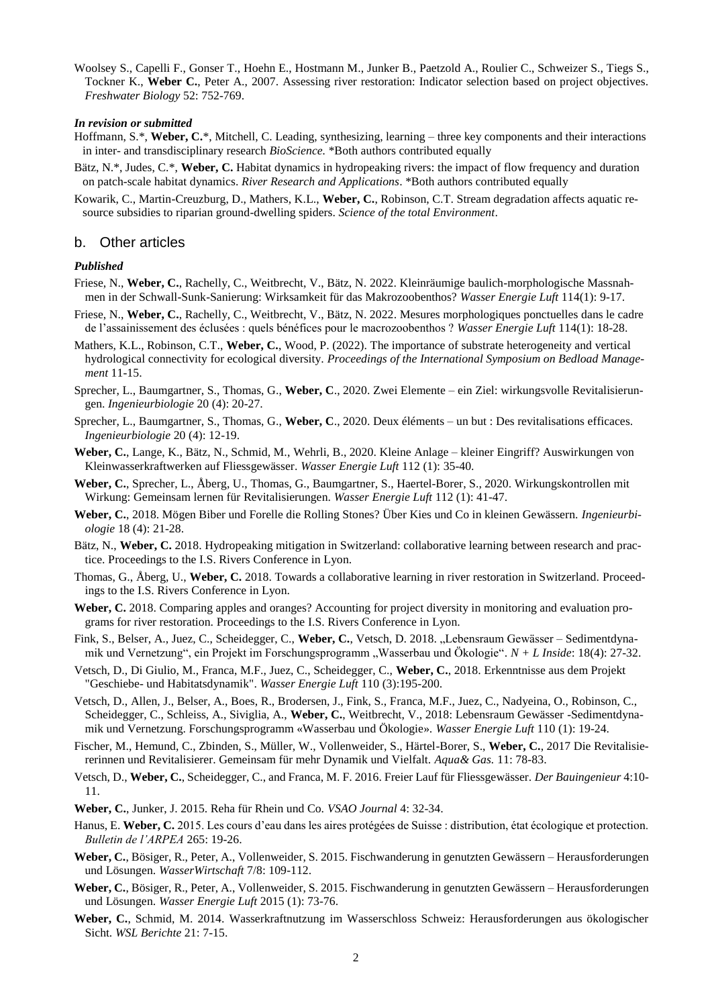Woolsey S., Capelli F., Gonser T., Hoehn E., Hostmann M., Junker B., Paetzold A., Roulier C., Schweizer S., Tiegs S., Tockner K., **Weber C.**, Peter A., 2007. Assessing river restoration: Indicator selection based on project objectives. *Freshwater Biology* 52: 752-769.

#### *In revision or submitted*

- Hoffmann, S.\*, **Weber, C.**\*, Mitchell, C. Leading, synthesizing, learning three key components and their interactions in inter- and transdisciplinary research *BioScience.* \*Both authors contributed equally
- Bätz, N.\*, Judes, C.\*, **Weber, C.** Habitat dynamics in hydropeaking rivers: the impact of flow frequency and duration on patch-scale habitat dynamics. *River Research and Applications*. \*Both authors contributed equally
- Kowarik, C., Martin-Creuzburg, D., Mathers, K.L., **Weber, C.**, Robinson, C.T. Stream degradation affects aquatic resource subsidies to riparian ground-dwelling spiders. *Science of the total Environment*.

## b. Other articles

#### *Published*

- Friese, N., **Weber, C.**, Rachelly, C., Weitbrecht, V., Bätz, N. 2022. Kleinräumige baulich-morphologische Massnahmen in der Schwall-Sunk-Sanierung: Wirksamkeit für das Makrozoobenthos? *Wasser Energie Luft* 114(1): 9-17.
- Friese, N., **Weber, C.**, Rachelly, C., Weitbrecht, V., Bätz, N. 2022. Mesures morphologiques ponctuelles dans le cadre de l'assainissement des éclusées : quels bénéfices pour le macrozoobenthos ? *Wasser Energie Luft* 114(1): 18-28.
- Mathers, K.L., Robinson, C.T., **Weber, C.**, Wood, P. (2022). The importance of substrate heterogeneity and vertical hydrological connectivity for ecological diversity. *Proceedings of the International Symposium on Bedload Management* 11-15.
- Sprecher, L., Baumgartner, S., Thomas, G., **Weber, C**., 2020. Zwei Elemente ein Ziel: wirkungsvolle Revitalisierungen. *Ingenieurbiologie* 20 (4): 20-27.
- Sprecher, L., Baumgartner, S., Thomas, G., **Weber, C**., 2020. Deux éléments un but : Des revitalisations efficaces. *Ingenieurbiologie* 20 (4): 12-19.
- **Weber, C.**, Lange, K., Bätz, N., Schmid, M., Wehrli, B., 2020. Kleine Anlage kleiner Eingriff? Auswirkungen von Kleinwasserkraftwerken auf Fliessgewässer. *Wasser Energie Luft* 112 (1): 35-40.
- **Weber, C.**, Sprecher, L., Åberg, U., Thomas, G., Baumgartner, S., Haertel-Borer, S., 2020. Wirkungskontrollen mit Wirkung: Gemeinsam lernen für Revitalisierungen. *Wasser Energie Luft* 112 (1): 41-47.
- **Weber, C.**, 2018. Mögen Biber und Forelle die Rolling Stones? Über Kies und Co in kleinen Gewässern. *Ingenieurbiologie* 18 (4): 21-28.
- Bätz, N., **Weber, C.** 2018. Hydropeaking mitigation in Switzerland: collaborative learning between research and practice. Proceedings to the I.S. Rivers Conference in Lyon.
- Thomas, G., Åberg, U., **Weber, C.** 2018. Towards a collaborative learning in river restoration in Switzerland. Proceedings to the I.S. Rivers Conference in Lyon.
- **Weber, C.** 2018. Comparing apples and oranges? Accounting for project diversity in monitoring and evaluation programs for river restoration. Proceedings to the I.S. Rivers Conference in Lyon.
- Fink, S., Belser, A., Juez, C., Scheidegger, C., Weber, C., Vetsch, D. 2018. "Lebensraum Gewässer Sedimentdynamik und Vernetzung", ein Projekt im Forschungsprogramm "Wasserbau und Ökologie". *N + L Inside*: 18(4): 27-32.
- Vetsch, D., Di Giulio, M., Franca, M.F., Juez, C., Scheidegger, C., **Weber, C.**, 2018. Erkenntnisse aus dem Projekt "Geschiebe- und Habitatsdynamik". *Wasser Energie Luft* 110 (3):195-200.
- Vetsch, D., Allen, J., Belser, A., Boes, R., Brodersen, J., Fink, S., Franca, M.F., Juez, C., Nadyeina, O., Robinson, C., Scheidegger, C., Schleiss, A., Siviglia, A., **Weber, C.**, Weitbrecht, V., 2018: Lebensraum Gewässer -Sedimentdynamik und Vernetzung. Forschungsprogramm «Wasserbau und Ökologie». *Wasser Energie Luft* 110 (1): 19-24.
- Fischer, M., Hemund, C., Zbinden, S., Müller, W., Vollenweider, S., Härtel-Borer, S., **Weber, C.**, 2017 Die Revitalisiererinnen und Revitalisierer. Gemeinsam für mehr Dynamik und Vielfalt. *Aqua& Gas.* 11: 78-83.
- Vetsch, D., **Weber, C.**, Scheidegger, C., and Franca, M. F. 2016. Freier Lauf für Fliessgewässer. *Der Bauingenieur* 4:10- 11.
- **Weber, C.**, Junker, J. 2015. Reha für Rhein und Co. *VSAO Journal* 4: 32-34.
- Hanus, E. **Weber, C.** 2015. Les cours d'eau dans les aires protégées de Suisse : distribution, état écologique et protection. *Bulletin de l'ARPEA* 265: 19-26.
- **Weber, C.**, Bösiger, R., Peter, A., Vollenweider, S. 2015. Fischwanderung in genutzten Gewässern Herausforderungen und Lösungen. *WasserWirtschaft* 7/8: 109-112.
- **Weber, C.**, Bösiger, R., Peter, A., Vollenweider, S. 2015. Fischwanderung in genutzten Gewässern Herausforderungen und Lösungen. *Wasser Energie Luft* 2015 (1): 73-76.
- **Weber, C.**, Schmid, M. 2014. Wasserkraftnutzung im Wasserschloss Schweiz: Herausforderungen aus ökologischer Sicht. *WSL Berichte* 21: 7-15.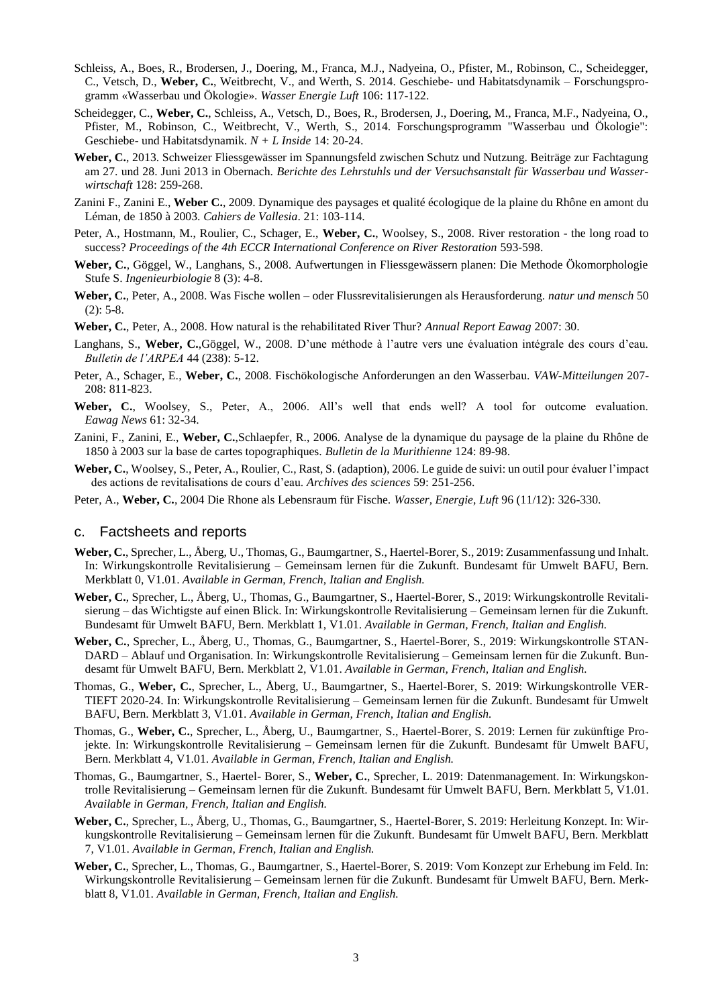- Schleiss, A., Boes, R., Brodersen, J., Doering, M., Franca, M.J., Nadyeina, O., Pfister, M., Robinson, C., Scheidegger, C., Vetsch, D., **Weber, C.**, Weitbrecht, V., and Werth, S. 2014. Geschiebe- und Habitatsdynamik – Forschungsprogramm «Wasserbau und Ökologie». *Wasser Energie Luft* 106: 117-122.
- Scheidegger, C., **Weber, C.**, Schleiss, A., Vetsch, D., Boes, R., Brodersen, J., Doering, M., Franca, M.F., Nadyeina, O., Pfister, M., Robinson, C., Weitbrecht, V., Werth, S., 2014. Forschungsprogramm "Wasserbau und Ökologie": Geschiebe- und Habitatsdynamik. *N + L Inside* 14: 20-24.
- **Weber, C.**, 2013. Schweizer Fliessgewässer im Spannungsfeld zwischen Schutz und Nutzung. Beiträge zur Fachtagung am 27. und 28. Juni 2013 in Obernach. *Berichte des Lehrstuhls und der Versuchsanstalt für Wasserbau und Wasserwirtschaft* 128: 259-268.
- Zanini F., Zanini E., **Weber C.**, 2009. Dynamique des paysages et qualité écologique de la plaine du Rhône en amont du Léman, de 1850 à 2003. *Cahiers de Vallesia*. 21: 103-114.
- Peter, A., Hostmann, M., Roulier, C., Schager, E., **Weber, C.**, Woolsey, S., 2008. River restoration the long road to success? *Proceedings of the 4th ECCR International Conference on River Restoration* 593-598.
- **Weber, C.**, Göggel, W., Langhans, S., 2008. Aufwertungen in Fliessgewässern planen: Die Methode Ökomorphologie Stufe S. *Ingenieurbiologie* 8 (3): 4-8.
- **Weber, C.**, Peter, A., 2008. Was Fische wollen oder Flussrevitalisierungen als Herausforderung. *natur und mensch* 50  $(2): 5-8.$
- **Weber, C.**, Peter, A., 2008. How natural is the rehabilitated River Thur? *Annual Report Eawag* 2007: 30.
- Langhans, S., **Weber, C.**,Göggel, W., 2008. D'une méthode à l'autre vers une évaluation intégrale des cours d'eau. *Bulletin de l'ARPEA* 44 (238): 5-12.
- Peter, A., Schager, E., **Weber, C.**, 2008. Fischökologische Anforderungen an den Wasserbau. *VAW-Mitteilungen* 207- 208: 811-823.
- **Weber, C.**, Woolsey, S., Peter, A., 2006. All's well that ends well? A tool for outcome evaluation. *Eawag News* 61: 32-34.
- Zanini, F., Zanini, E., **Weber, C.**,Schlaepfer, R., 2006. Analyse de la dynamique du paysage de la plaine du Rhône de 1850 à 2003 sur la base de cartes topographiques. *Bulletin de la Murithienne* 124: 89-98.
- **Weber, C.**, Woolsey, S., Peter, A., Roulier, C., Rast, S. (adaption), 2006. Le guide de suivi: un outil pour évaluer l'impact des actions de revitalisations de cours d'eau. *Archives des sciences* 59: 251-256.
- Peter, A., **Weber, C.**, 2004 Die Rhone als Lebensraum für Fische. *Wasser, Energie, Luft* 96 (11/12): 326-330.

## c. Factsheets and reports

- **Weber, C.**, Sprecher, L., Åberg, U., Thomas, G., Baumgartner, S., Haertel-Borer, S., 2019: Zusammenfassung und Inhalt. In: Wirkungskontrolle Revitalisierung – Gemeinsam lernen für die Zukunft. Bundesamt für Umwelt BAFU, Bern. Merkblatt 0, V1.01. *Available in German, French, Italian and English.*
- **Weber, C.**, Sprecher, L., Åberg, U., Thomas, G., Baumgartner, S., Haertel-Borer, S., 2019: Wirkungskontrolle Revitalisierung – das Wichtigste auf einen Blick. In: Wirkungskontrolle Revitalisierung – Gemeinsam lernen für die Zukunft. Bundesamt für Umwelt BAFU, Bern. Merkblatt 1, V1.01. *Available in German, French, Italian and English.*
- **Weber, C.**, Sprecher, L., Åberg, U., Thomas, G., Baumgartner, S., Haertel-Borer, S., 2019: Wirkungskontrolle STAN-DARD – Ablauf und Organisation. In: Wirkungskontrolle Revitalisierung – Gemeinsam lernen für die Zukunft. Bundesamt für Umwelt BAFU, Bern. Merkblatt 2, V1.01. *Available in German, French, Italian and English.*
- Thomas, G., **Weber, C.**, Sprecher, L., Åberg, U., Baumgartner, S., Haertel-Borer, S. 2019: Wirkungskontrolle VER-TIEFT 2020-24. In: Wirkungskontrolle Revitalisierung – Gemeinsam lernen für die Zukunft. Bundesamt für Umwelt BAFU, Bern. Merkblatt 3, V1.01. *Available in German, French, Italian and English.*
- Thomas, G., **Weber, C.**, Sprecher, L., Åberg, U., Baumgartner, S., Haertel-Borer, S. 2019: Lernen für zukünftige Projekte. In: Wirkungskontrolle Revitalisierung – Gemeinsam lernen für die Zukunft. Bundesamt für Umwelt BAFU, Bern. Merkblatt 4, V1.01. *Available in German, French, Italian and English.*
- Thomas, G., Baumgartner, S., Haertel- Borer, S., **Weber, C.**, Sprecher, L. 2019: Datenmanagement. In: Wirkungskontrolle Revitalisierung – Gemeinsam lernen für die Zukunft. Bundesamt für Umwelt BAFU, Bern. Merkblatt 5, V1.01. *Available in German, French, Italian and English.*
- **Weber, C.**, Sprecher, L., Åberg, U., Thomas, G., Baumgartner, S., Haertel-Borer, S. 2019: Herleitung Konzept. In: Wirkungskontrolle Revitalisierung – Gemeinsam lernen für die Zukunft. Bundesamt für Umwelt BAFU, Bern. Merkblatt 7, V1.01. *Available in German, French, Italian and English.*
- **Weber, C.**, Sprecher, L., Thomas, G., Baumgartner, S., Haertel-Borer, S. 2019: Vom Konzept zur Erhebung im Feld. In: Wirkungskontrolle Revitalisierung – Gemeinsam lernen für die Zukunft. Bundesamt für Umwelt BAFU, Bern. Merkblatt 8, V1.01. *Available in German, French, Italian and English.*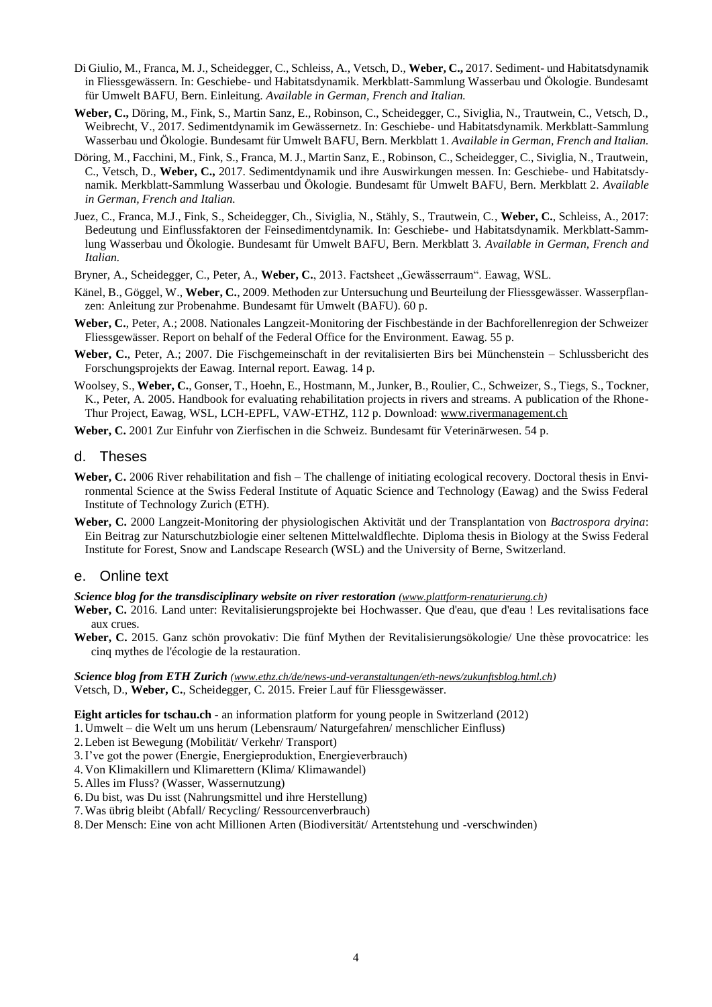- Di Giulio, M., Franca, M. J., Scheidegger, C., Schleiss, A., Vetsch, D., **Weber, C.,** 2017. Sediment- und Habitatsdynamik in Fliessgewässern. In: Geschiebe- und Habitatsdynamik. Merkblatt-Sammlung Wasserbau und Ökologie. Bundesamt für Umwelt BAFU, Bern. Einleitung. *Available in German, French and Italian.*
- **Weber, C.,** Döring, M., Fink, S., Martin Sanz, E., Robinson, C., Scheidegger, C., Siviglia, N., Trautwein, C., Vetsch, D., Weibrecht, V., 2017. Sedimentdynamik im Gewässernetz. In: Geschiebe- und Habitatsdynamik. Merkblatt-Sammlung Wasserbau und Ökologie. Bundesamt für Umwelt BAFU, Bern. Merkblatt 1. *Available in German, French and Italian.*
- Döring, M., Facchini, M., Fink, S., Franca, M. J., Martin Sanz, E., Robinson, C., Scheidegger, C., Siviglia, N., Trautwein, C., Vetsch, D., **Weber, C.,** 2017. Sedimentdynamik und ihre Auswirkungen messen. In: Geschiebe- und Habitatsdynamik. Merkblatt-Sammlung Wasserbau und Ökologie. Bundesamt für Umwelt BAFU, Bern. Merkblatt 2. *Available in German, French and Italian.*
- Juez, C., Franca, M.J., Fink, S., Scheidegger, Ch., Siviglia, N., Stähly, S., Trautwein, C., **Weber, C.**, Schleiss, A., 2017: Bedeutung und Einflussfaktoren der Feinsedimentdynamik. In: Geschiebe- und Habitatsdynamik. Merkblatt-Sammlung Wasserbau und Ökologie. Bundesamt für Umwelt BAFU, Bern. Merkblatt 3. *Available in German, French and Italian.*
- Bryner, A., Scheidegger, C., Peter, A., Weber, C., 2013. Factsheet "Gewässerraum". Eawag, WSL.
- Känel, B., Göggel, W., **Weber, C.**, 2009. Methoden zur Untersuchung und Beurteilung der Fliessgewässer. Wasserpflanzen: Anleitung zur Probenahme. Bundesamt für Umwelt (BAFU). 60 p.
- **Weber, C.**, Peter, A.; 2008. Nationales Langzeit-Monitoring der Fischbestände in der Bachforellenregion der Schweizer Fliessgewässer. Report on behalf of the Federal Office for the Environment. Eawag. 55 p.
- **Weber, C.**, Peter, A.; 2007. Die Fischgemeinschaft in der revitalisierten Birs bei Münchenstein Schlussbericht des Forschungsprojekts der Eawag. Internal report. Eawag. 14 p.
- Woolsey, S., **Weber, C.**, Gonser, T., Hoehn, E., Hostmann, M., Junker, B., Roulier, C., Schweizer, S., Tiegs, S., Tockner, K., Peter, A. 2005. Handbook for evaluating rehabilitation projects in rivers and streams. A publication of the Rhone-Thur Project, Eawag, WSL, LCH-EPFL, VAW-ETHZ, 112 p. Download: [www.rivermanagement.ch](http://www.rivermanagement.ch/)

**Weber, C.** 2001 Zur Einfuhr von Zierfischen in die Schweiz. Bundesamt für Veterinärwesen. 54 p.

## d. Theses

- Weber, C. 2006 River rehabilitation and fish The challenge of initiating ecological recovery. Doctoral thesis in Environmental Science at the Swiss Federal Institute of Aquatic Science and Technology (Eawag) and the Swiss Federal Institute of Technology Zurich (ETH).
- **Weber, C.** 2000 Langzeit-Monitoring der physiologischen Aktivität und der Transplantation von *Bactrospora dryina*: Ein Beitrag zur Naturschutzbiologie einer seltenen Mittelwaldflechte. Diploma thesis in Biology at the Swiss Federal Institute for Forest, Snow and Landscape Research (WSL) and the University of Berne, Switzerland.

### e. Online text

#### *Science blog for the transdisciplinary website on river restoration [\(www.plattform-renaturierung.ch\)](http://www.plattform-renaturierung.ch/)*

- **Weber, C.** 2016. Land unter: Revitalisierungsprojekte bei Hochwasser. Que d'eau, que d'eau ! Les revitalisations face aux crues.
- **Weber, C.** 2015. Ganz schön provokativ: Die fünf Mythen der Revitalisierungsökologie/ Une thèse provocatrice: les cinq mythes de l'écologie de la restauration.

### *Science blog from ETH Zurich [\(www.ethz.ch/de/news-und-veranstaltungen/eth-news/zukunftsblog.html.ch\)](http://www.ethz.ch/de/news-und-veranstaltungen/eth-news/zukunftsblog.html.ch)* Vetsch, D., **Weber, C.**, Scheidegger, C. 2015. Freier Lauf für Fliessgewässer.

**Eight articles for tschau.ch** - an information platform for young people in Switzerland (2012)

- 1. Umwelt die Welt um uns herum (Lebensraum/ Naturgefahren/ menschlicher Einfluss)
- 2.Leben ist Bewegung (Mobilität/ Verkehr/ Transport)
- 3.I've got the power (Energie, Energieproduktion, Energieverbrauch)
- 4. Von Klimakillern und Klimarettern (Klima/ Klimawandel)
- 5. Alles im Fluss? (Wasser, Wassernutzung)
- 6. Du bist, was Du isst (Nahrungsmittel und ihre Herstellung)
- 7.Was übrig bleibt (Abfall/ Recycling/ Ressourcenverbrauch)
- 8. Der Mensch: Eine von acht Millionen Arten (Biodiversität/ Artentstehung und -verschwinden)